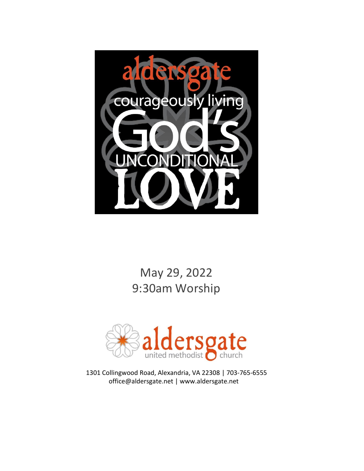

May 29, 2022 9:30am Worship



1301 Collingwood Road, Alexandria, VA 22308 | 703-765-6555 office@aldersgate.net | www.aldersgate.net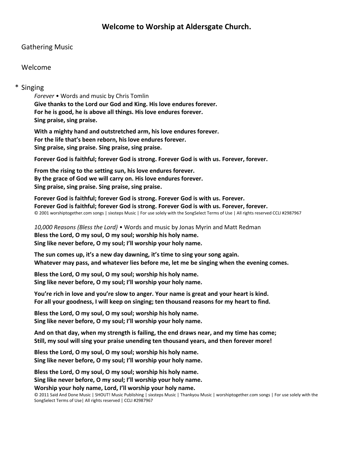# **Welcome to Worship at Aldersgate Church.**

## Gathering Music

### Welcome

### \* Singing

*Forever* • Words and music by Chris Tomlin **Give thanks to the Lord our God and King. His love endures forever. For he is good, he is above all things. His love endures forever. Sing praise, sing praise.**

**With a mighty hand and outstretched arm, his love endures forever. For the life that's been reborn, his love endures forever. Sing praise, sing praise. Sing praise, sing praise.**

**Forever God is faithful; forever God is strong. Forever God is with us. Forever, forever.**

**From the rising to the setting sun, his love endures forever. By the grace of God we will carry on. His love endures forever. Sing praise, sing praise. Sing praise, sing praise.**

**Forever God is faithful; forever God is strong. Forever God is with us. Forever. Forever God is faithful; forever God is strong. Forever God is with us. Forever, forever.** © 2001 worshiptogether.com songs | sixsteps Music | For use solely with the SongSelect Terms of Use | All rights reserved CCLI #2987967

*10,000 Reasons (Bless the Lord)* • Words and music by Jonas Myrin and Matt Redman **Bless the Lord, O my soul, O my soul; worship his holy name. Sing like never before, O my soul; I'll worship your holy name.**

**The sun comes up, it's a new day dawning, it's time to sing your song again. Whatever may pass, and whatever lies before me, let me be singing when the evening comes.**

**Bless the Lord, O my soul, O my soul; worship his holy name. Sing like never before, O my soul; I'll worship your holy name.**

**You're rich in love and you're slow to anger. Your name is great and your heart is kind. For all your goodness, I will keep on singing; ten thousand reasons for my heart to find.**

**Bless the Lord, O my soul, O my soul; worship his holy name. Sing like never before, O my soul; I'll worship your holy name.**

**And on that day, when my strength is failing, the end draws near, and my time has come; Still, my soul will sing your praise unending ten thousand years, and then forever more!**

**Bless the Lord, O my soul, O my soul; worship his holy name. Sing like never before, O my soul; I'll worship your holy name.**

**Bless the Lord, O my soul, O my soul; worship his holy name. Sing like never before, O my soul; I'll worship your holy name. Worship your holy name, Lord, I'll worship your holy name.**

© 2011 Said And Done Music | SHOUT! Music Publishing | sixsteps Music | Thankyou Music | worshiptogether.com songs | For use solely with the SongSelect Terms of Use| All rights reserved | CCLI #2987967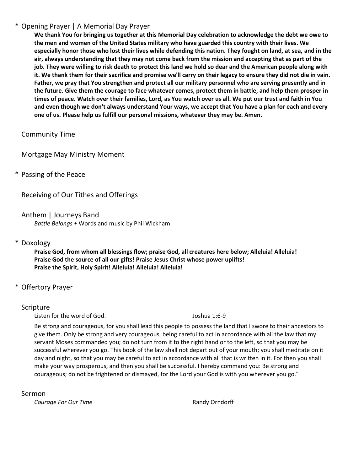# \* Opening Prayer | A Memorial Day Prayer

**We thank You for bringing us together at this Memorial Day celebration to acknowledge the debt we owe to the men and women of the United States military who have guarded this country with their lives. We especially honor those who lost their lives while defending this nation. They fought on land, at sea, and in the air, always understanding that they may not come back from the mission and accepting that as part of the job. They were willing to risk death to protect this land we hold so dear and the American people along with it. We thank them for their sacrifice and promise we'll carry on their legacy to ensure they did not die in vain. Father, we pray that You strengthen and protect all our military personnel who are serving presently and in the future. Give them the courage to face whatever comes, protect them in battle, and help them prosper in times of peace. Watch over their families, Lord, as You watch over us all. We put our trust and faith in You and even though we don't always understand Your ways, we accept that You have a plan for each and every one of us. Please help us fulfill our personal missions, whatever they may be. Amen.**

Community Time

Mortgage May Ministry Moment

\* Passing of the Peace

Receiving of Our Tithes and Offerings

Anthem | Journeys Band *Battle Belongs* • Words and music by Phil Wickham

\* Doxology

**Praise God, from whom all blessings flow; praise God, all creatures here below; Alleluia! Alleluia! Praise God the source of all our gifts! Praise Jesus Christ whose power uplifts! Praise the Spirit, Holy Spirit! Alleluia! Alleluia! Alleluia!**

\* Offertory Prayer

## Scripture

Listen for the word of God. Joshua 1:6-9

Be strong and courageous, for you shall lead this people to possess the land that I swore to their ancestors to give them. Only be strong and very courageous, being careful to act in accordance with all the law that my servant Moses commanded you; do not turn from it to the right hand or to the left, so that you may be successful wherever you go. This book of the law shall not depart out of your mouth; you shall meditate on it day and night, so that you may be careful to act in accordance with all that is written in it. For then you shall make your way prosperous, and then you shall be successful. I hereby command you: Be strong and courageous; do not be frightened or dismayed, for the Lord your God is with you wherever you go."

Sermon

**Courage For Our Time Randy Orndorff**